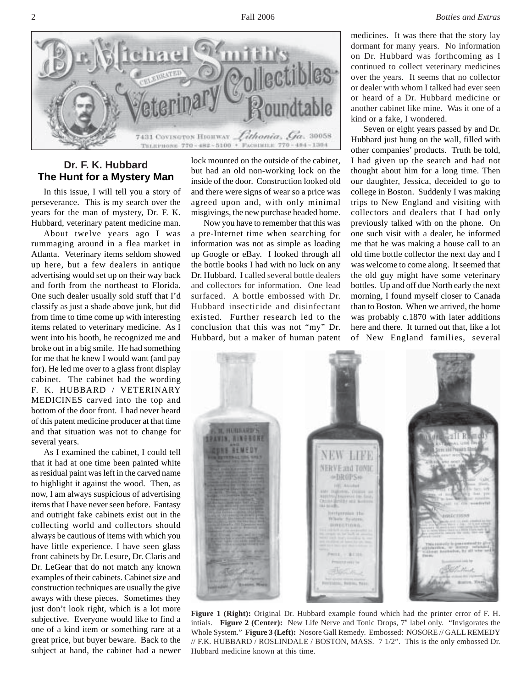2 Fall 2006 *Bottles and Extras*



## **Dr. F. K. Hubbard The Hunt for a Mystery Man**

In this issue, I will tell you a story of perseverance. This is my search over the years for the man of mystery, Dr. F. K. Hubbard, veterinary patent medicine man.

About twelve years ago I was rummaging around in a flea market in Atlanta. Veterinary items seldom showed up here, but a few dealers in antique advertising would set up on their way back and forth from the northeast to Florida. One such dealer usually sold stuff that I'd classify as just a shade above junk, but did from time to time come up with interesting items related to veterinary medicine. As I went into his booth, he recognized me and broke out in a big smile. He had something for me that he knew I would want (and pay for). He led me over to a glass front display cabinet. The cabinet had the wording F. K. HUBBARD / VETERINARY MEDICINES carved into the top and bottom of the door front. I had never heard of this patent medicine producer at that time and that situation was not to change for several years.

As I examined the cabinet, I could tell that it had at one time been painted white as residual paint was left in the carved name to highlight it against the wood. Then, as now, I am always suspicious of advertising items that I have never seen before. Fantasy and outright fake cabinets exist out in the collecting world and collectors should always be cautious of items with which you have little experience. I have seen glass front cabinets by Dr. Lesure, Dr. Claris and Dr. LeGear that do not match any known examples of their cabinets. Cabinet size and construction techniques are usually the give aways with these pieces. Sometimes they just don't look right, which is a lot more subjective. Everyone would like to find a one of a kind item or something rare at a great price, but buyer beware. Back to the subject at hand, the cabinet had a newer lock mounted on the outside of the cabinet, but had an old non-working lock on the inside of the door. Construction looked old and there were signs of wear so a price was agreed upon and, with only minimal misgivings, the new purchase headed home.

Now you have to remember that this was a pre-Internet time when searching for information was not as simple as loading up Google or eBay. I looked through all the bottle books I had with no luck on any Dr. Hubbard. I called several bottle dealers and collectors for information. One lead surfaced. A bottle embossed with Dr. Hubbard insecticide and disinfectant existed. Further research led to the conclusion that this was not "my" Dr. Hubbard, but a maker of human patent medicines. It was there that the story lay dormant for many years. No information on Dr. Hubbard was forthcoming as I continued to collect veterinary medicines over the years. It seems that no collector or dealer with whom I talked had ever seen or heard of a Dr. Hubbard medicine or another cabinet like mine. Was it one of a kind or a fake, I wondered.

Seven or eight years passed by and Dr. Hubbard just hung on the wall, filled with other companies' products. Truth be told, I had given up the search and had not thought about him for a long time. Then our daughter, Jessica, deceided to go to college in Boston. Suddenly I was making trips to New England and visiting with collectors and dealers that I had only previously talked with on the phone. On one such visit with a dealer, he informed me that he was making a house call to an old time bottle collector the next day and I was welcome to come along. It seemed that the old guy might have some veterinary bottles. Up and off due North early the next morning, I found myself closer to Canada than to Boston. When we arrived, the home was probably c.1870 with later additions here and there. It turned out that, like a lot of New England families, several



**Figure 1 (Right):** Original Dr. Hubbard example found which had the printer error of F. H. intials. **Figure 2 (Center):** New Life Nerve and Tonic Drops, 7" label only. "Invigorates the Whole System." **Figure 3 (Left):** Nosore Gall Remedy. Embossed: NOSORE // GALL REMEDY // F.K. HUBBARD / ROSLINDALE / BOSTON, MASS. 7 1/2". This is the only embossed Dr. Hubbard medicine known at this time.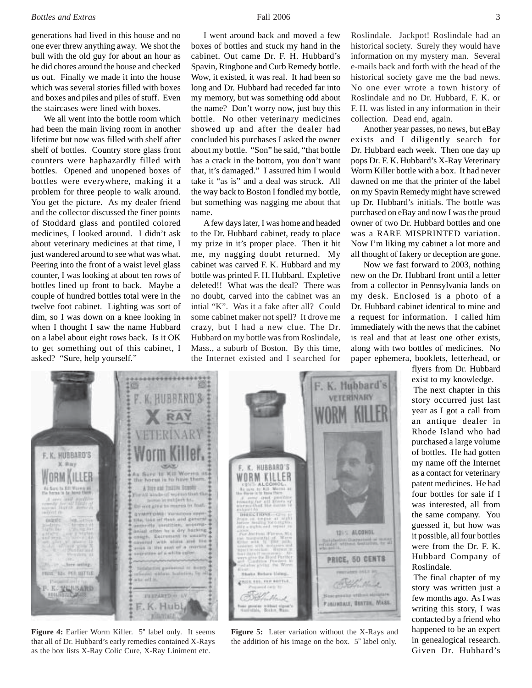## *Bottles and Extras* 5 3

generations had lived in this house and no one ever threw anything away. We shot the bull with the old guy for about an hour as he did chores around the house and checked us out. Finally we made it into the house which was several stories filled with boxes and boxes and piles and piles of stuff. Even the staircases were lined with boxes.

We all went into the bottle room which had been the main living room in another lifetime but now was filled with shelf after shelf of bottles. Country store glass front counters were haphazardly filled with bottles. Opened and unopened boxes of bottles were everywhere, making it a problem for three people to walk around. You get the picture. As my dealer friend and the collector discussed the finer points of Stoddard glass and pontiled colored medicines, I looked around. I didn't ask about veterinary medicines at that time, I just wandered around to see what was what. Peering into the front of a waist level glass counter, I was looking at about ten rows of bottles lined up front to back. Maybe a couple of hundred bottles total were in the twelve foot cabinet. Lighting was sort of dim, so I was down on a knee looking in when I thought I saw the name Hubbard on a label about eight rows back. Is it OK to get something out of this cabinet, I asked? "Sure, help yourself."

I went around back and moved a few boxes of bottles and stuck my hand in the cabinet. Out came Dr. F. H. Hubbard's Spavin, Ringbone and Curb Remedy bottle. Wow, it existed, it was real. It had been so long and Dr. Hubbard had receded far into my memory, but was something odd about the name? Don't worry now, just buy this bottle. No other veterinary medicines showed up and after the dealer had concluded his purchases I asked the owner about my bottle. "Son" he said, "that bottle has a crack in the bottom, you don't want that, it's damaged." I assured him I would take it "as is" and a deal was struck. All the way back to Boston I fondled my bottle, but something was nagging me about that name.

A few days later, I was home and headed to the Dr. Hubbard cabinet, ready to place my prize in it's proper place. Then it hit me, my nagging doubt returned. My cabinet was carved F. K. Hubbard and my bottle was printed F. H. Hubbard. Expletive deleted!! What was the deal? There was no doubt, carved into the cabinet was an intial "K". Was it a fake after all? Could some cabinet maker not spell? It drove me crazy, but I had a new clue. The Dr. Hubbard on my bottle was from Roslindale, Mass., a suburb of Boston. By this time, the Internet existed and I searched for Roslindale. Jackpot! Roslindale had an historical society. Surely they would have information on my mystery man. Several e-mails back and forth with the head of the historical society gave me the bad news. No one ever wrote a town history of Roslindale and no Dr. Hubbard, F. K. or F. H. was listed in any information in their collection. Dead end, again.

Another year passes, no news, but eBay exists and I diligently search for Dr. Hubbard each week. Then one day up pops Dr. F. K. Hubbard's X-Ray Veterinary Worm Killer bottle with a box. It had never dawned on me that the printer of the label on my Spavin Remedy might have screwed up Dr. Hubbard's initials. The bottle was purchased on eBay and now I was the proud owner of two Dr. Hubbard bottles and one was a RARE MISPRINTED variation. Now I'm liking my cabinet a lot more and all thought of fakery or deception are gone.

Now we fast forward to 2003, nothing new on the Dr. Hubbard front until a letter from a collector in Pennsylvania lands on my desk. Enclosed is a photo of a Dr. Hubbard cabinet identical to mine and a request for information. I called him immediately with the news that the cabinet is real and that at least one other exists, along with two bottles of medicines. No paper ephemera, booklets, letterhead, or

> flyers from Dr. Hubbard exist to my knowledge. The next chapter in this story occurred just last year as I got a call from an antique dealer in Rhode Island who had purchased a large volume of bottles. He had gotten my name off the Internet as a contact for veterinary patent medicines. He had four bottles for sale if I was interested, all from the same company. You guessed it, but how was it possible, all four bottles were from the Dr. F. K. Hubbard Company of Roslindale.

The final chapter of my story was written just a few months ago. As I was writing this story, I was contacted by a friend who happened to be an expert in genealogical research. Given Dr. Hubbard's



**Figure 4:** Earlier Worm Killer. 5" label only. It seems that all of Dr. Hubbard's early remedies contained X-Rays as the box lists X-Ray Colic Cure, X-Ray Liniment etc.

**Figure 5:** Later variation without the X-Rays and the addition of his image on the box. 5" label only.